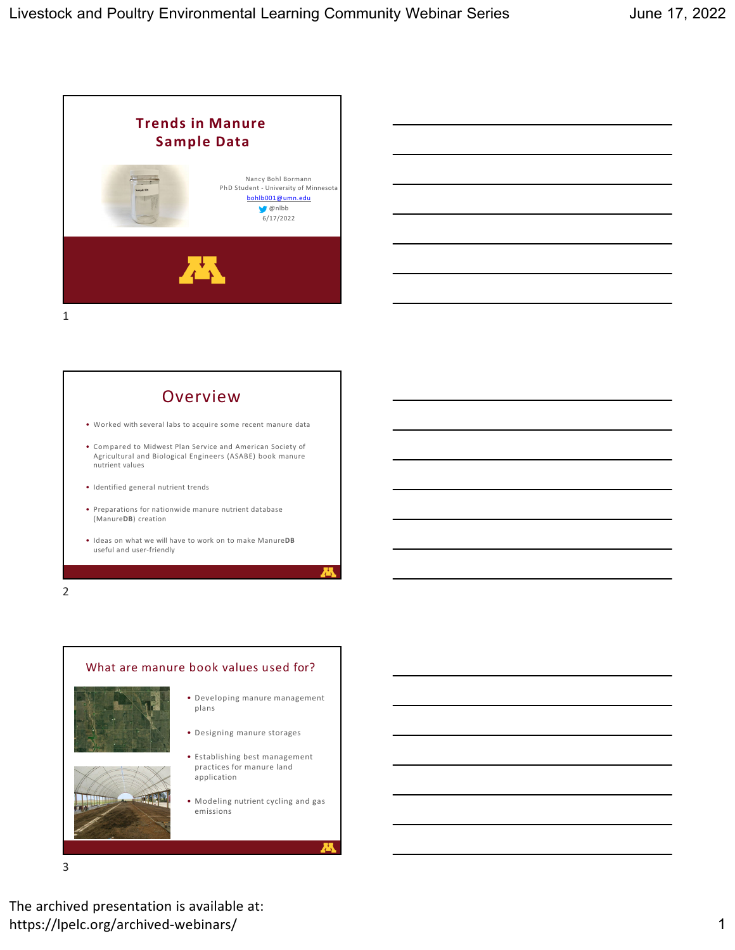





• Ideas on what we will have to work on to make Manure**DB** useful and user‐friendly

2



3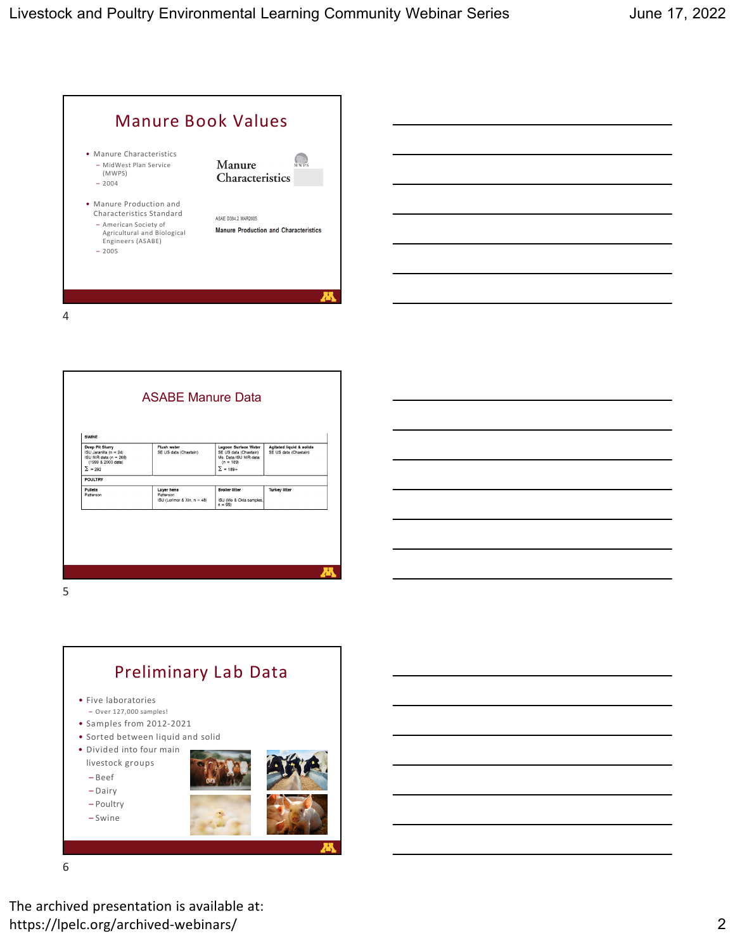



Preliminary Lab Data • Five laboratories – Over 127,000 samples! • Samples from 2012‐2021 • Sorted between liquid and solid • Divided into four main livestock groups – Beef – Dairy – Poultry – Swine

6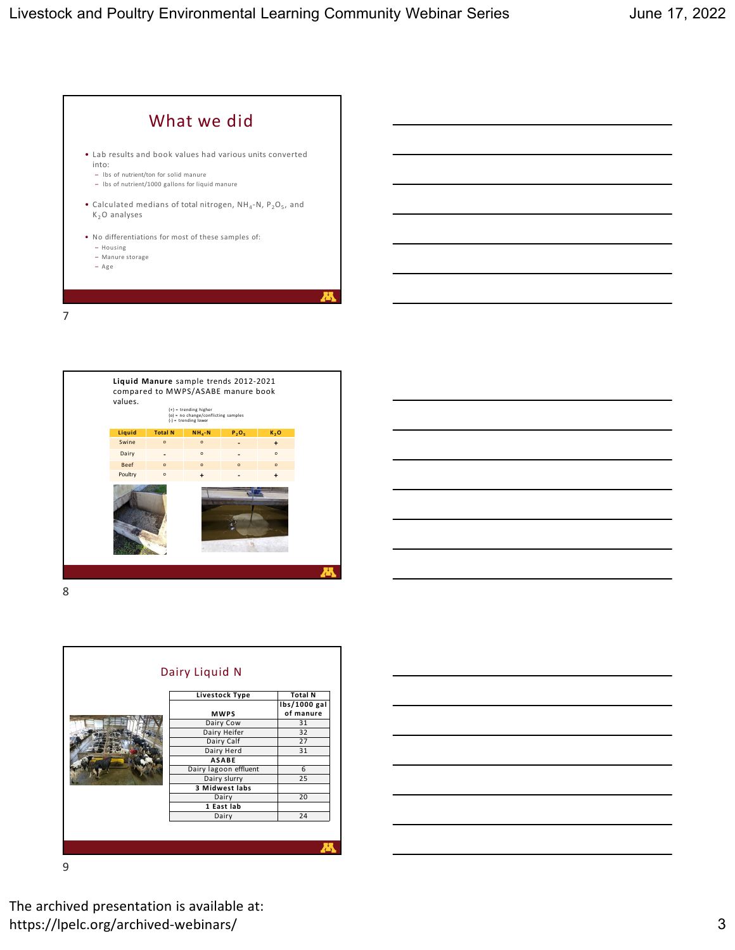







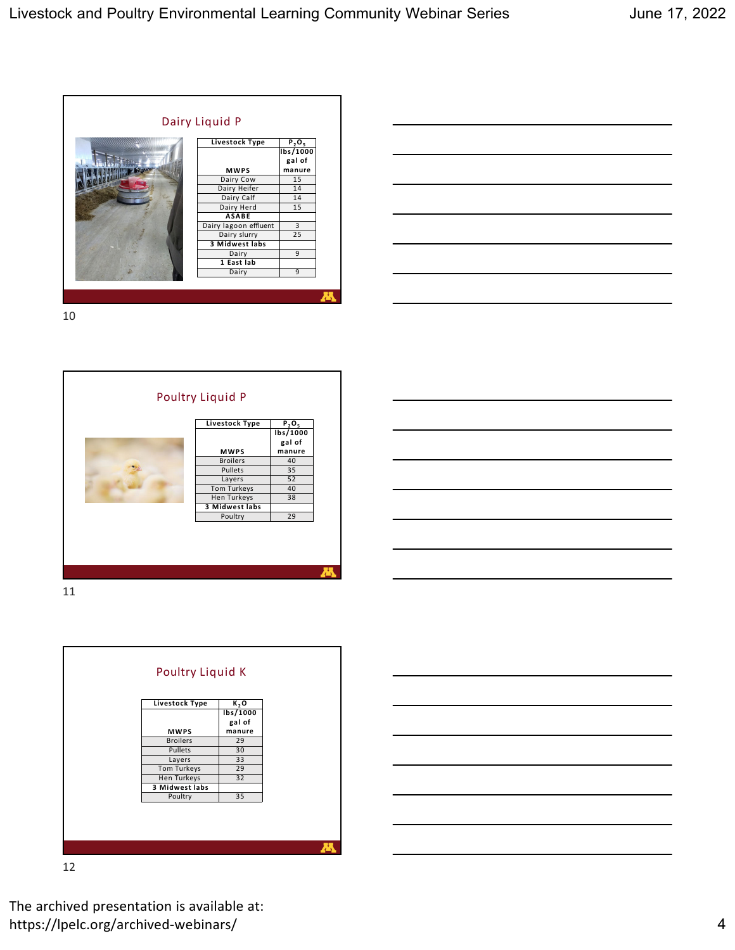





11



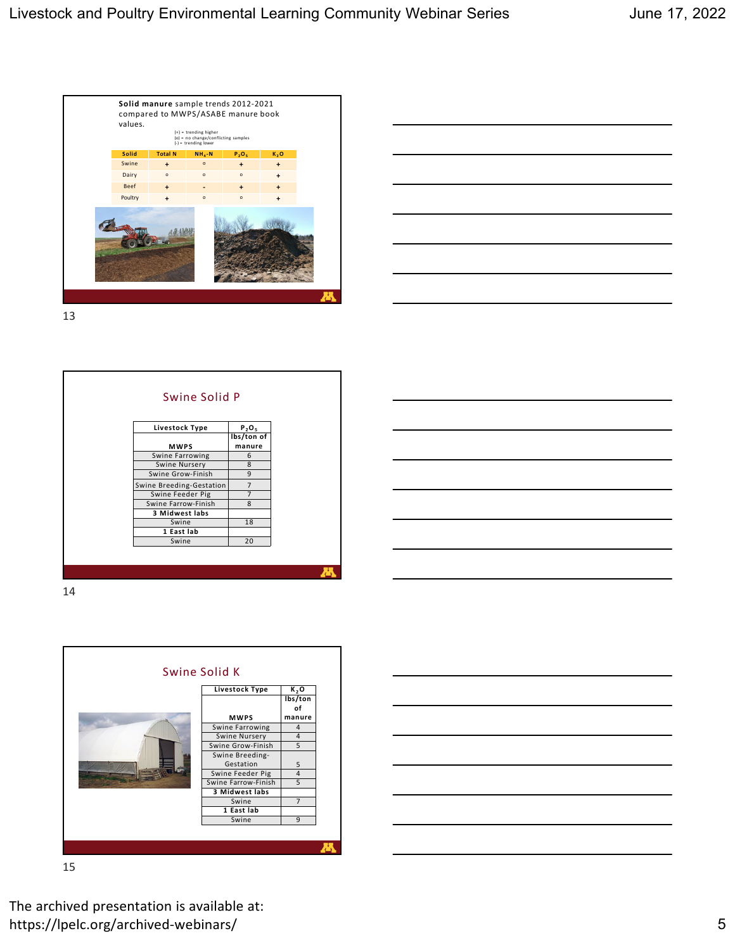



| Livestock Type<br><b>MWPS</b> | $P_2O_5$<br>lbs/ton of<br>manure |
|-------------------------------|----------------------------------|
| Swine Farrowing               | 6                                |
| Swine Nursery                 | 8                                |
| Swine Grow-Finish             | 9                                |
| Swine Breeding-Gestation      | $\overline{7}$                   |
| Swine Feeder Pig              | $\overline{7}$                   |
| Swine Farrow-Finish           | 8                                |
| 3 Midwest labs                |                                  |
| Swine                         | 18                               |
| 1 East lab                    |                                  |
| Swine                         | 20                               |

14



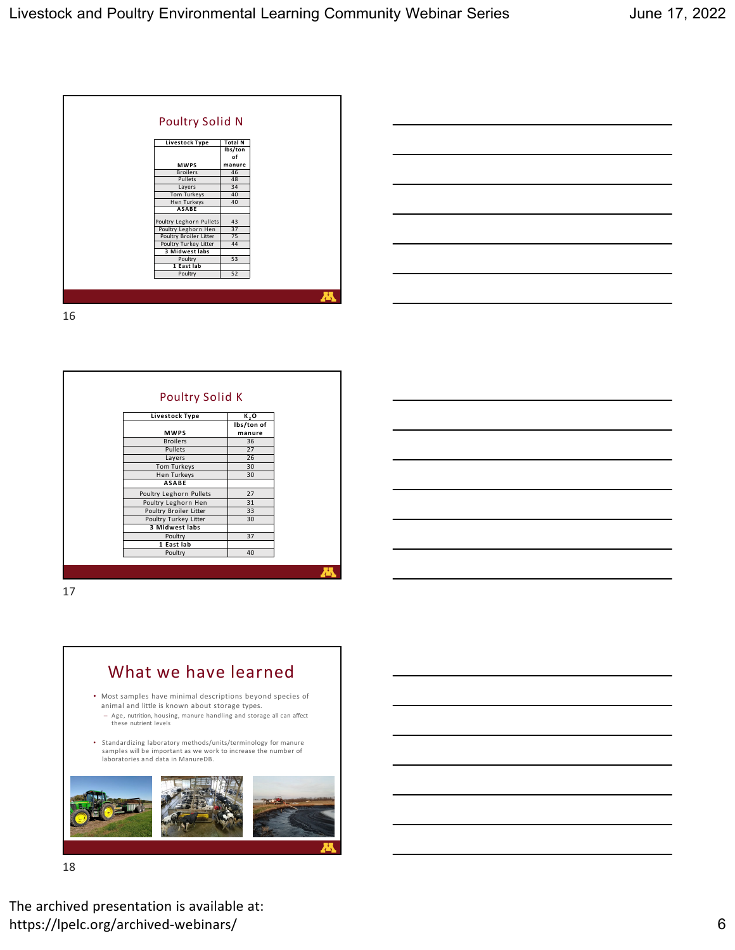



| Livestock Type          | K,O                  |
|-------------------------|----------------------|
| <b>MWPS</b>             | lbs/ton of<br>manure |
| <b>Broilers</b>         | 36                   |
| Pullets                 | 27                   |
| Layers                  | 26                   |
| Tom Turkeys             | 30                   |
| <b>Hen Turkeys</b>      | 30                   |
| <b>ASABE</b>            |                      |
| Poultry Leghorn Pullets | 27                   |
| Poultry Leghorn Hen     | 31                   |
| Poultry Broiler Litter  | 33                   |
| Poultry Turkey Litter   | 30                   |
| 3 Midwest labs          |                      |
| Poultry                 | 37                   |
| 1 East lab              |                      |
| Poultry                 | 40                   |

What we have learned • Most samples have minimal descriptions beyond species of animal and little is known about storage types. – Age, nutrition, housing, manure handling and storage all can affect these nutrient levels

> • Standardizing laboratory methods/units/terminology for manure samples will be important as we work to increase the number of laboratories and data in ManureDB.



18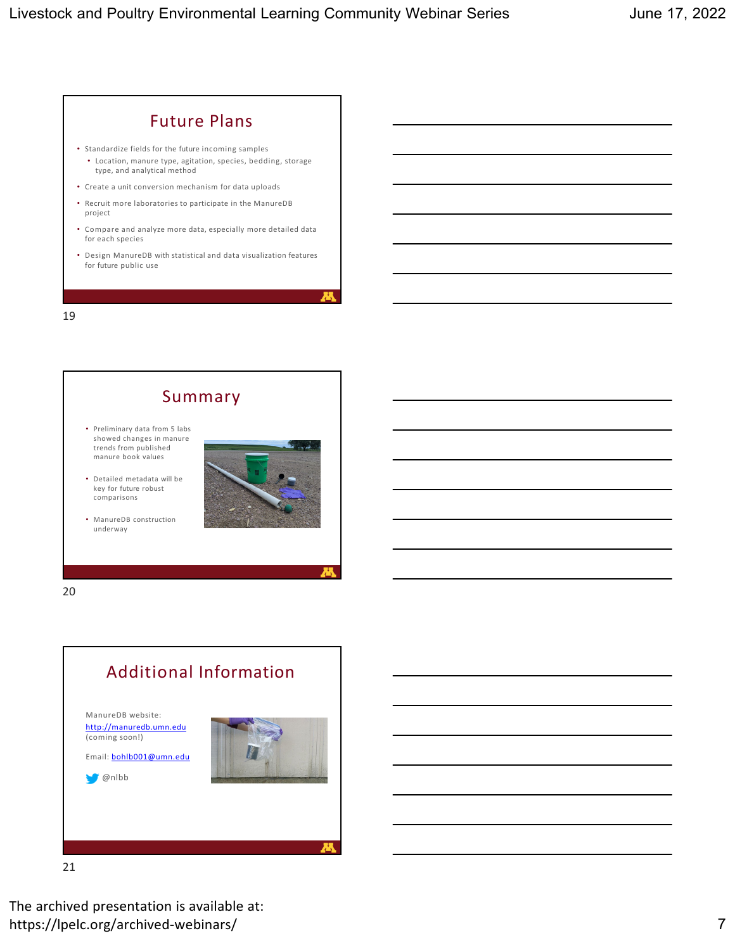